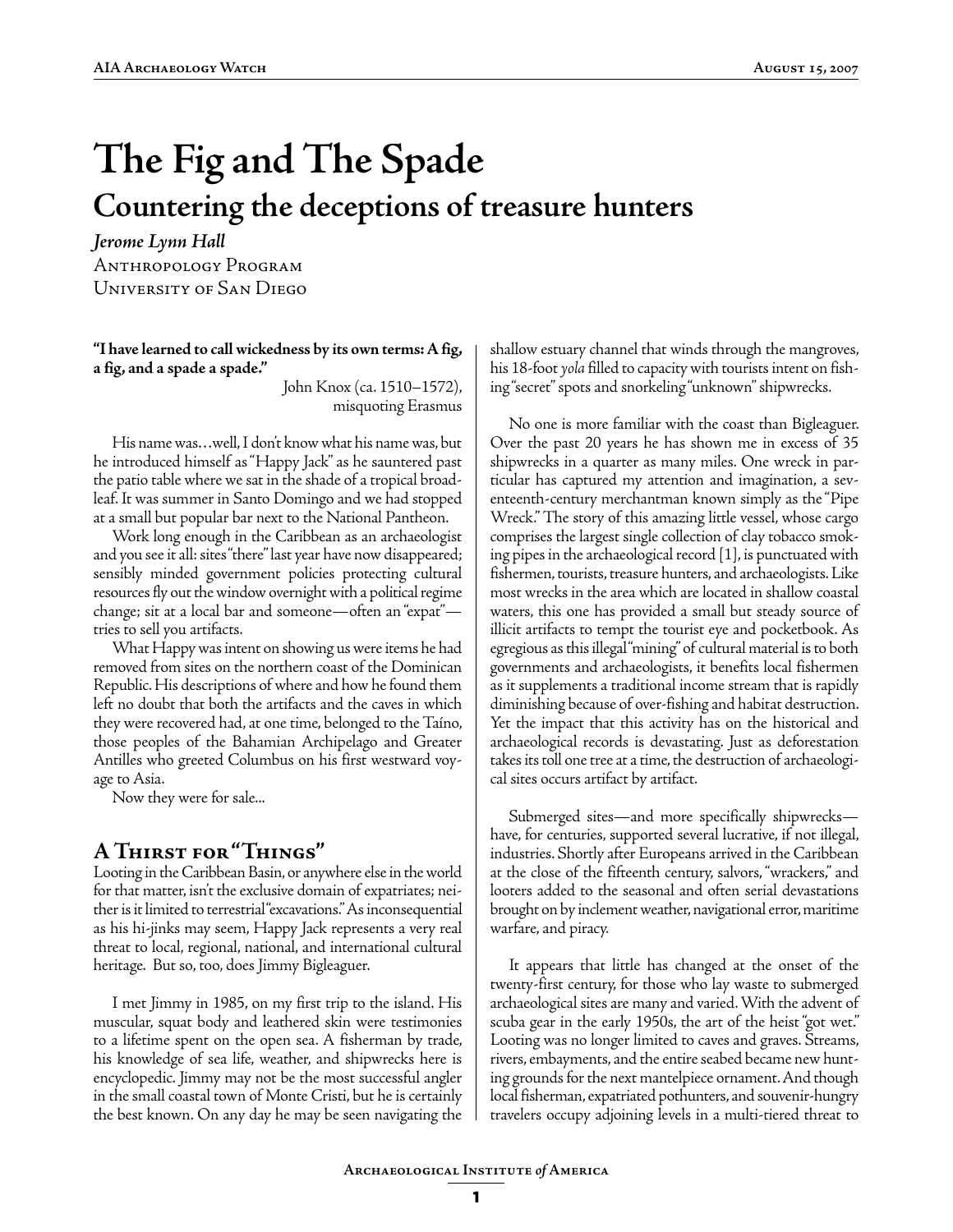# **The Fig and The Spade Countering the deceptions of treasure hunters**

*Jerome Lynn Hall* Anthropology Program University of San Diego

**"I have learned to call wickedness by its own terms: A fig, a fig, and a spade a spade."**

> John Knox (ca. 1510–1572), misquoting Erasmus

His name was…well, I don't know what his name was, but he introduced himself as "Happy Jack" as he sauntered past the patio table where we sat in the shade of a tropical broadleaf. It was summer in Santo Domingo and we had stopped at a small but popular bar next to the National Pantheon.

Work long enough in the Caribbean as an archaeologist and you see it all: sites "there" last year have now disappeared; sensibly minded government policies protecting cultural resources fly out the window overnight with a political regime change; sit at a local bar and someone—often an "expat" tries to sell you artifacts.

What Happy was intent on showing us were items he had removed from sites on the northern coast of the Dominican Republic. His descriptions of where and how he found them left no doubt that both the artifacts and the caves in which they were recovered had, at one time, belonged to the Taíno, those peoples of the Bahamian Archipelago and Greater Antilles who greeted Columbus on his first westward voyage to Asia.

Now they were for sale...

## **A Thirst for "Things"**

Looting in the Caribbean Basin, or anywhere else in the world for that matter, isn't the exclusive domain of expatriates; neither is it limited to terrestrial "excavations." As inconsequential as his hi-jinks may seem, Happy Jack represents a very real threat to local, regional, national, and international cultural heritage. But so, too, does Jimmy Bigleaguer.

I met Jimmy in 1985, on my first trip to the island. His muscular, squat body and leathered skin were testimonies to a lifetime spent on the open sea. A fisherman by trade, his knowledge of sea life, weather, and shipwrecks here is encyclopedic. Jimmy may not be the most successful angler in the small coastal town of Monte Cristi, but he is certainly the best known. On any day he may be seen navigating the

shallow estuary channel that winds through the mangroves, his 18-foot *yola* filled to capacity with tourists intent on fishing "secret" spots and snorkeling "unknown" shipwrecks.

No one is more familiar with the coast than Bigleaguer. Over the past 20 years he has shown me in excess of 35 shipwrecks in a quarter as many miles. One wreck in particular has captured my attention and imagination, a seventeenth-century merchantman known simply as the "Pipe Wreck." The story of this amazing little vessel, whose cargo comprises the largest single collection of clay tobacco smoking pipes in the archaeological record [1], is punctuated with fishermen, tourists, treasure hunters, and archaeologists. Like most wrecks in the area which are located in shallow coastal waters, this one has provided a small but steady source of illicit artifacts to tempt the tourist eye and pocketbook. As egregious as this illegal "mining" of cultural material is to both governments and archaeologists, it benefits local fishermen as it supplements a traditional income stream that is rapidly diminishing because of over-fishing and habitat destruction. Yet the impact that this activity has on the historical and archaeological records is devastating. Just as deforestation takes its toll one tree at a time, the destruction of archaeological sites occurs artifact by artifact.

Submerged sites—and more specifically shipwrecks have, for centuries, supported several lucrative, if not illegal, industries. Shortly after Europeans arrived in the Caribbean at the close of the fifteenth century, salvors, "wrackers," and looters added to the seasonal and often serial devastations brought on by inclement weather, navigational error, maritime warfare, and piracy.

It appears that little has changed at the onset of the twenty-first century, for those who lay waste to submerged archaeological sites are many and varied. With the advent of scuba gear in the early 1950s, the art of the heist "got wet." Looting was no longer limited to caves and graves. Streams, rivers, embayments, and the entire seabed became new hunting grounds for the next mantelpiece ornament. And though local fisherman, expatriated pothunters, and souvenir-hungry travelers occupy adjoining levels in a multi-tiered threat to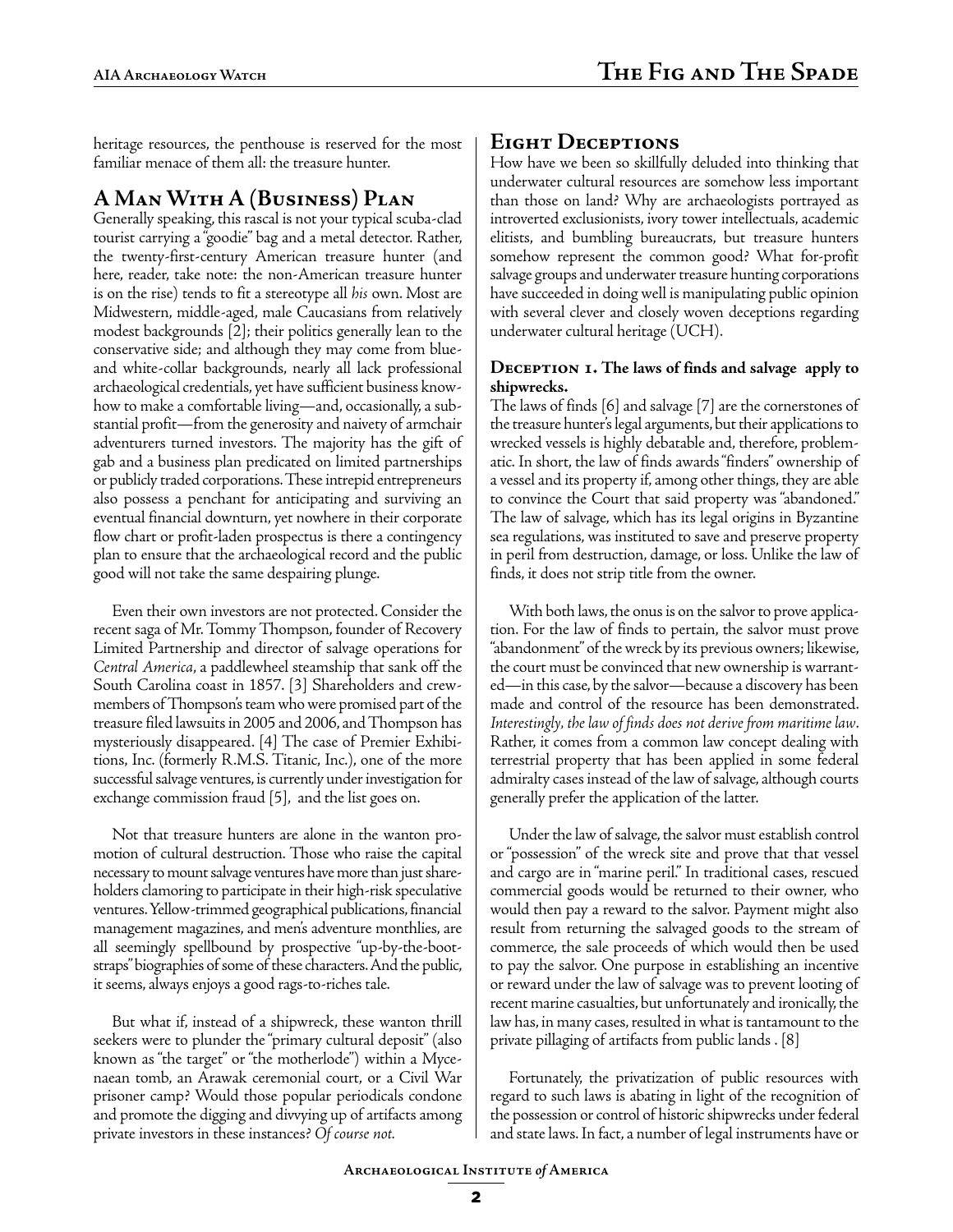heritage resources, the penthouse is reserved for the most familiar menace of them all: the treasure hunter.

# **A Man With A (Business) Plan**

Generally speaking, this rascal is not your typical scuba-clad tourist carrying a "goodie" bag and a metal detector. Rather, the twenty-first-century American treasure hunter (and here, reader, take note: the non-American treasure hunter is on the rise) tends to fit a stereotype all *his* own. Most are Midwestern, middle-aged, male Caucasians from relatively modest backgrounds [2]; their politics generally lean to the conservative side; and although they may come from blueand white-collar backgrounds, nearly all lack professional archaeological credentials, yet have sufficient business knowhow to make a comfortable living—and, occasionally, a substantial profit—from the generosity and naivety of armchair adventurers turned investors. The majority has the gift of gab and a business plan predicated on limited partnerships or publicly traded corporations. These intrepid entrepreneurs also possess a penchant for anticipating and surviving an eventual financial downturn, yet nowhere in their corporate flow chart or profit-laden prospectus is there a contingency plan to ensure that the archaeological record and the public good will not take the same despairing plunge.

Even their own investors are not protected. Consider the recent saga of Mr. Tommy Thompson, founder of Recovery Limited Partnership and director of salvage operations for *Central America*, a paddlewheel steamship that sank off the South Carolina coast in 1857. [3] Shareholders and crewmembers of Thompson's team who were promised part of the treasure filed lawsuits in 2005 and 2006, and Thompson has mysteriously disappeared. [4] The case of Premier Exhibitions, Inc. (formerly R.M.S. Titanic, Inc.), one of the more successful salvage ventures, is currently under investigation for exchange commission fraud [5], and the list goes on.

Not that treasure hunters are alone in the wanton promotion of cultural destruction. Those who raise the capital necessary to mount salvage ventures have more than just shareholders clamoring to participate in their high-risk speculative ventures. Yellow-trimmed geographical publications, financial management magazines, and men's adventure monthlies, are all seemingly spellbound by prospective "up-by-the-bootstraps" biographies of some of these characters. And the public, it seems, always enjoys a good rags-to-riches tale.

But what if, instead of a shipwreck, these wanton thrill seekers were to plunder the "primary cultural deposit" (also known as "the target" or "the motherlode") within a Mycenaean tomb, an Arawak ceremonial court, or a Civil War prisoner camp? Would those popular periodicals condone and promote the digging and divvying up of artifacts among private investors in these instances? *Of course not.*

# **Eight Deceptions**

How have we been so skillfully deluded into thinking that underwater cultural resources are somehow less important than those on land? Why are archaeologists portrayed as introverted exclusionists, ivory tower intellectuals, academic elitists, and bumbling bureaucrats, but treasure hunters somehow represent the common good? What for-profit salvage groups and underwater treasure hunting corporations have succeeded in doing well is manipulating public opinion with several clever and closely woven deceptions regarding underwater cultural heritage (UCH).

#### **Deception 1. The laws of finds and salvage apply to shipwrecks.**

The laws of finds [6] and salvage [7] are the cornerstones of the treasure hunter's legal arguments, but their applications to wrecked vessels is highly debatable and, therefore, problematic. In short, the law of finds awards "finders" ownership of a vessel and its property if, among other things, they are able to convince the Court that said property was "abandoned." The law of salvage, which has its legal origins in Byzantine sea regulations, was instituted to save and preserve property in peril from destruction, damage, or loss. Unlike the law of finds, it does not strip title from the owner.

With both laws, the onus is on the salvor to prove application. For the law of finds to pertain, the salvor must prove "abandonment" of the wreck by its previous owners; likewise, the court must be convinced that new ownership is warranted—in this case, by the salvor—because a discovery has been made and control of the resource has been demonstrated. *Interestingly, the law of finds does not derive from maritime law*. Rather, it comes from a common law concept dealing with terrestrial property that has been applied in some federal admiralty cases instead of the law of salvage, although courts generally prefer the application of the latter.

Under the law of salvage, the salvor must establish control or "possession" of the wreck site and prove that that vessel and cargo are in "marine peril." In traditional cases, rescued commercial goods would be returned to their owner, who would then pay a reward to the salvor. Payment might also result from returning the salvaged goods to the stream of commerce, the sale proceeds of which would then be used to pay the salvor. One purpose in establishing an incentive or reward under the law of salvage was to prevent looting of recent marine casualties, but unfortunately and ironically, the law has, in many cases, resulted in what is tantamount to the private pillaging of artifacts from public lands . [8]

Fortunately, the privatization of public resources with regard to such laws is abating in light of the recognition of the possession or control of historic shipwrecks under federal and state laws. In fact, a number of legal instruments have or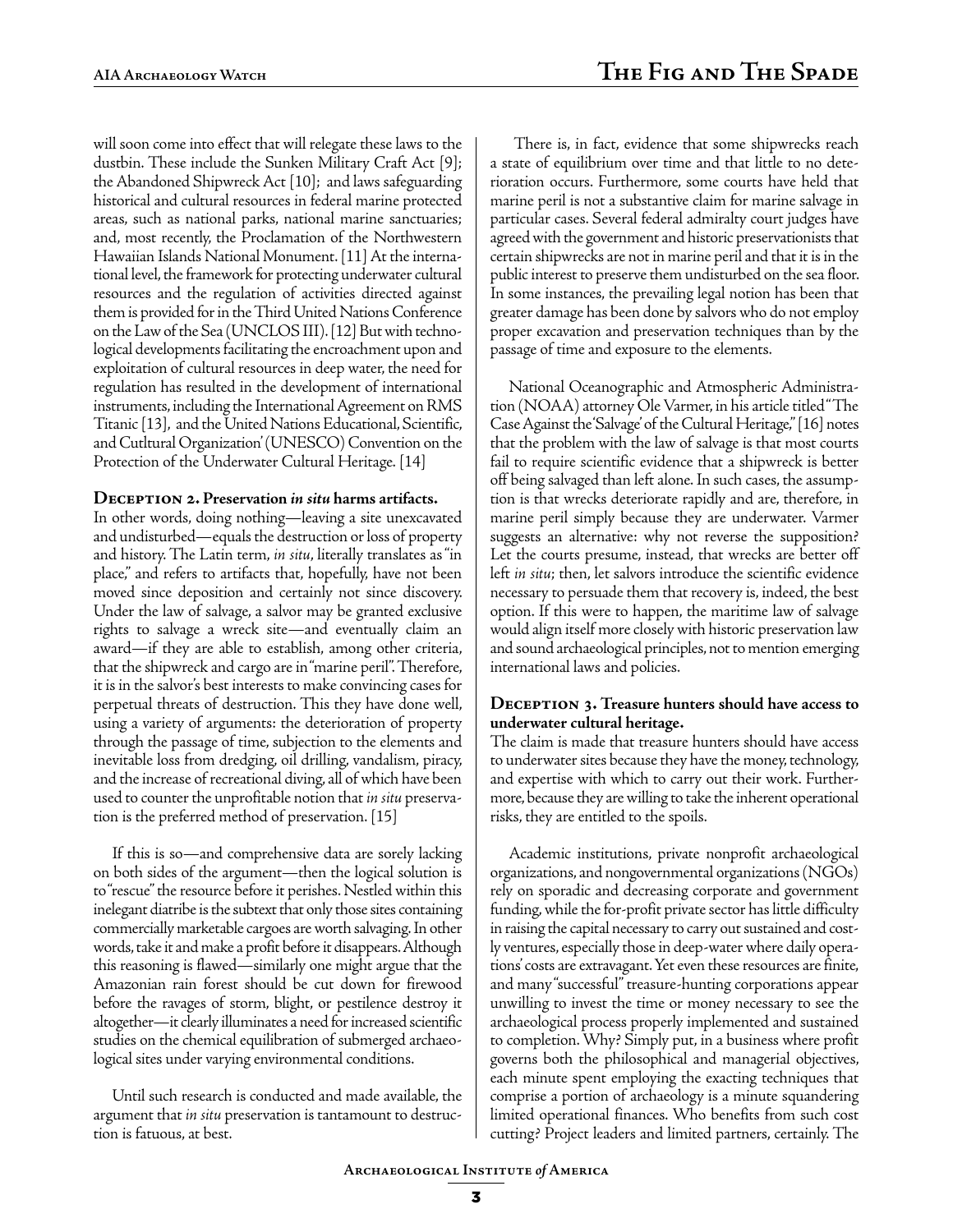will soon come into effect that will relegate these laws to the dustbin. These include the Sunken Military Craft Act [9]; the Abandoned Shipwreck Act [10]; and laws safeguarding historical and cultural resources in federal marine protected areas, such as national parks, national marine sanctuaries; and, most recently, the Proclamation of the Northwestern Hawaiian Islands National Monument. [11] At the international level, the framework for protecting underwater cultural resources and the regulation of activities directed against them is provided for in the Third United Nations Conference on the Law of the Sea (UNCLOS III). [12] But with technological developments facilitating the encroachment upon and exploitation of cultural resources in deep water, the need for regulation has resulted in the development of international instruments, including the International Agreement on RMS Titanic [13], and the United Nations Educational, Scientific, and Cutltural Organization' (UNESCO) Convention on the Protection of the Underwater Cultural Heritage. [14]

#### **Deception 2. Preservation** *in situ* **harms artifacts.**

In other words, doing nothing—leaving a site unexcavated and undisturbed—equals the destruction or loss of property and history. The Latin term, *in situ*, literally translates as "in place," and refers to artifacts that, hopefully, have not been moved since deposition and certainly not since discovery. Under the law of salvage, a salvor may be granted exclusive rights to salvage a wreck site—and eventually claim an award—if they are able to establish, among other criteria, that the shipwreck and cargo are in "marine peril". Therefore, it is in the salvor's best interests to make convincing cases for perpetual threats of destruction. This they have done well, using a variety of arguments: the deterioration of property through the passage of time, subjection to the elements and inevitable loss from dredging, oil drilling, vandalism, piracy, and the increase of recreational diving, all of which have been used to counter the unprofitable notion that *in situ* preservation is the preferred method of preservation. [15]

If this is so—and comprehensive data are sorely lacking on both sides of the argument—then the logical solution is to "rescue" the resource before it perishes. Nestled within this inelegant diatribe is the subtext that only those sites containing commercially marketable cargoes are worth salvaging. In other words, take it and make a profit before it disappears. Although this reasoning is flawed—similarly one might argue that the Amazonian rain forest should be cut down for firewood before the ravages of storm, blight, or pestilence destroy it altogether—it clearly illuminates a need for increased scientific studies on the chemical equilibration of submerged archaeological sites under varying environmental conditions.

Until such research is conducted and made available, the argument that *in situ* preservation is tantamount to destruction is fatuous, at best.

 There is, in fact, evidence that some shipwrecks reach a state of equilibrium over time and that little to no deterioration occurs. Furthermore, some courts have held that marine peril is not a substantive claim for marine salvage in particular cases. Several federal admiralty court judges have agreed with the government and historic preservationists that certain shipwrecks are not in marine peril and that it is in the public interest to preserve them undisturbed on the sea floor. In some instances, the prevailing legal notion has been that greater damage has been done by salvors who do not employ proper excavation and preservation techniques than by the passage of time and exposure to the elements.

National Oceanographic and Atmospheric Administration (NOAA) attorney Ole Varmer, in his article titled "The Case Against the 'Salvage' of the Cultural Heritage," [16] notes that the problem with the law of salvage is that most courts fail to require scientific evidence that a shipwreck is better off being salvaged than left alone. In such cases, the assumption is that wrecks deteriorate rapidly and are, therefore, in marine peril simply because they are underwater. Varmer suggests an alternative: why not reverse the supposition? Let the courts presume, instead, that wrecks are better off left *in situ*; then, let salvors introduce the scientific evidence necessary to persuade them that recovery is, indeed, the best option. If this were to happen, the maritime law of salvage would align itself more closely with historic preservation law and sound archaeological principles, not to mention emerging international laws and policies.

#### DECEPTION 3. Treasure hunters should have access to **underwater cultural heritage.**

The claim is made that treasure hunters should have access to underwater sites because they have the money, technology, and expertise with which to carry out their work. Furthermore, because they are willing to take the inherent operational risks, they are entitled to the spoils.

Academic institutions, private nonprofit archaeological organizations, and nongovernmental organizations (NGOs) rely on sporadic and decreasing corporate and government funding, while the for-profit private sector has little difficulty in raising the capital necessary to carry out sustained and costly ventures, especially those in deep-water where daily operations' costs are extravagant. Yet even these resources are finite, and many "successful" treasure-hunting corporations appear unwilling to invest the time or money necessary to see the archaeological process properly implemented and sustained to completion. Why? Simply put, in a business where profit governs both the philosophical and managerial objectives, each minute spent employing the exacting techniques that comprise a portion of archaeology is a minute squandering limited operational finances. Who benefits from such cost cutting? Project leaders and limited partners, certainly. The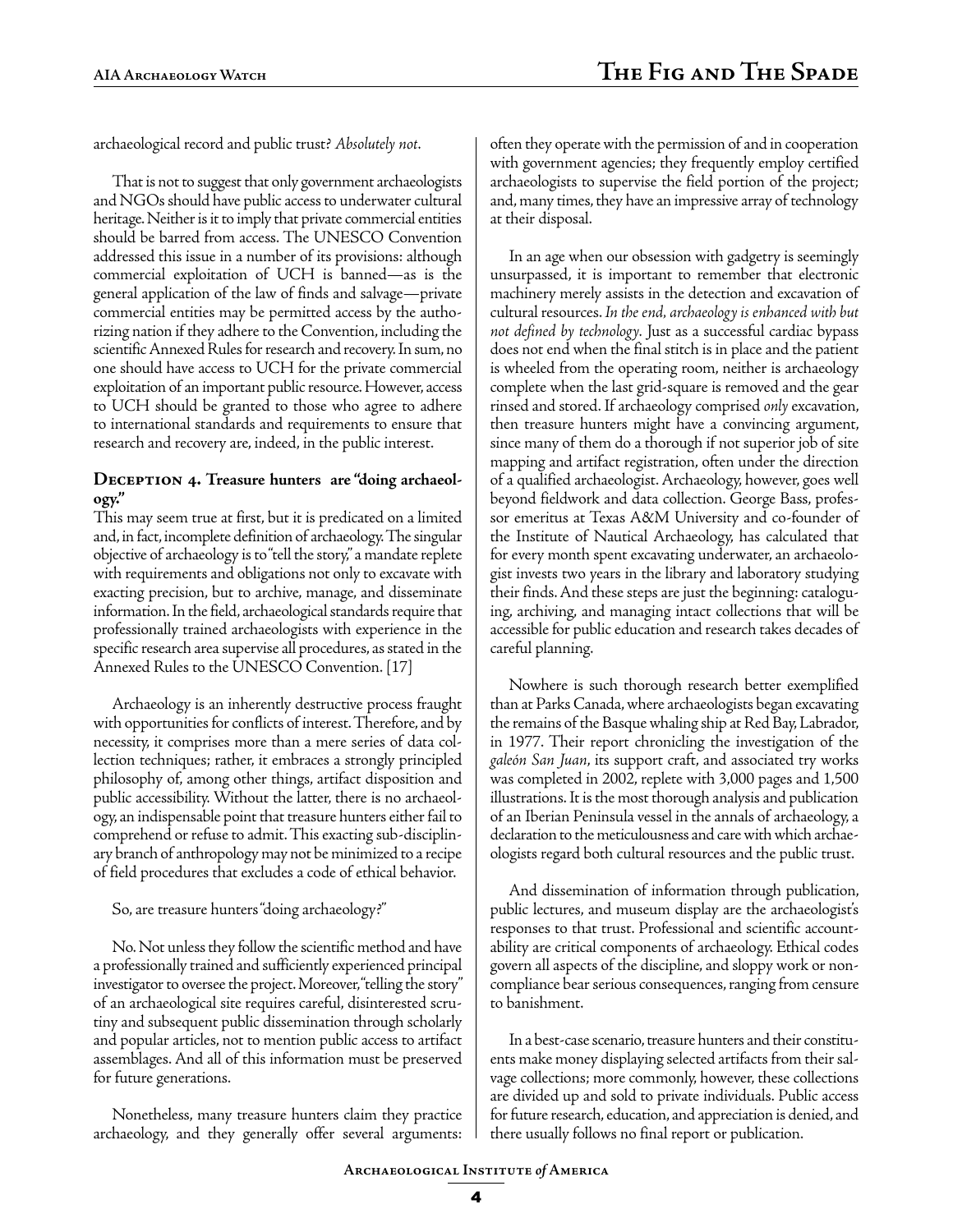archaeological record and public trust? *Absolutely not*.

That is not to suggest that only government archaeologists and NGOs should have public access to underwater cultural heritage. Neither is it to imply that private commercial entities should be barred from access. The UNESCO Convention addressed this issue in a number of its provisions: although commercial exploitation of UCH is banned—as is the general application of the law of finds and salvage—private commercial entities may be permitted access by the authorizing nation if they adhere to the Convention, including the scientific Annexed Rules for research and recovery. In sum, no one should have access to UCH for the private commercial exploitation of an important public resource. However, access to UCH should be granted to those who agree to adhere to international standards and requirements to ensure that research and recovery are, indeed, in the public interest.

#### DECEPTION 4. Treasure hunters are "doing archaeol**ogy."**

This may seem true at first, but it is predicated on a limited and, in fact, incomplete definition of archaeology. The singular objective of archaeology is to "tell the story," a mandate replete with requirements and obligations not only to excavate with exacting precision, but to archive, manage, and disseminate information. In the field, archaeological standards require that professionally trained archaeologists with experience in the specific research area supervise all procedures, as stated in the Annexed Rules to the UNESCO Convention. [17]

Archaeology is an inherently destructive process fraught with opportunities for conflicts of interest. Therefore, and by necessity, it comprises more than a mere series of data collection techniques; rather, it embraces a strongly principled philosophy of, among other things, artifact disposition and public accessibility. Without the latter, there is no archaeology, an indispensable point that treasure hunters either fail to comprehend or refuse to admit. This exacting sub-disciplinary branch of anthropology may not be minimized to a recipe of field procedures that excludes a code of ethical behavior.

So, are treasure hunters "doing archaeology?"

No. Not unless they follow the scientific method and have a professionally trained and sufficiently experienced principal investigator to oversee the project. Moreover, "telling the story" of an archaeological site requires careful, disinterested scrutiny and subsequent public dissemination through scholarly and popular articles, not to mention public access to artifact assemblages. And all of this information must be preserved for future generations.

Nonetheless, many treasure hunters claim they practice archaeology, and they generally offer several arguments: often they operate with the permission of and in cooperation with government agencies; they frequently employ certified archaeologists to supervise the field portion of the project; and, many times, they have an impressive array of technology at their disposal.

In an age when our obsession with gadgetry is seemingly unsurpassed, it is important to remember that electronic machinery merely assists in the detection and excavation of cultural resources. *In the end, archaeology is enhanced with but not defined by technology.* Just as a successful cardiac bypass does not end when the final stitch is in place and the patient is wheeled from the operating room, neither is archaeology complete when the last grid-square is removed and the gear rinsed and stored. If archaeology comprised *only* excavation, then treasure hunters might have a convincing argument, since many of them do a thorough if not superior job of site mapping and artifact registration, often under the direction of a qualified archaeologist. Archaeology, however, goes well beyond fieldwork and data collection. George Bass, professor emeritus at Texas A&M University and co-founder of the Institute of Nautical Archaeology, has calculated that for every month spent excavating underwater, an archaeologist invests two years in the library and laboratory studying their finds. And these steps are just the beginning: cataloguing, archiving, and managing intact collections that will be accessible for public education and research takes decades of careful planning.

Nowhere is such thorough research better exemplified than at Parks Canada, where archaeologists began excavating the remains of the Basque whaling ship at Red Bay, Labrador, in 1977. Their report chronicling the investigation of the *galeón San Juan*, its support craft, and associated try works was completed in 2002, replete with 3,000 pages and 1,500 illustrations. It is the most thorough analysis and publication of an Iberian Peninsula vessel in the annals of archaeology, a declaration to the meticulousness and care with which archaeologists regard both cultural resources and the public trust.

And dissemination of information through publication, public lectures, and museum display are the archaeologist's responses to that trust. Professional and scientific accountability are critical components of archaeology. Ethical codes govern all aspects of the discipline, and sloppy work or noncompliance bear serious consequences, ranging from censure to banishment.

In a best-case scenario, treasure hunters and their constituents make money displaying selected artifacts from their salvage collections; more commonly, however, these collections are divided up and sold to private individuals. Public access for future research, education, and appreciation is denied, and there usually follows no final report or publication.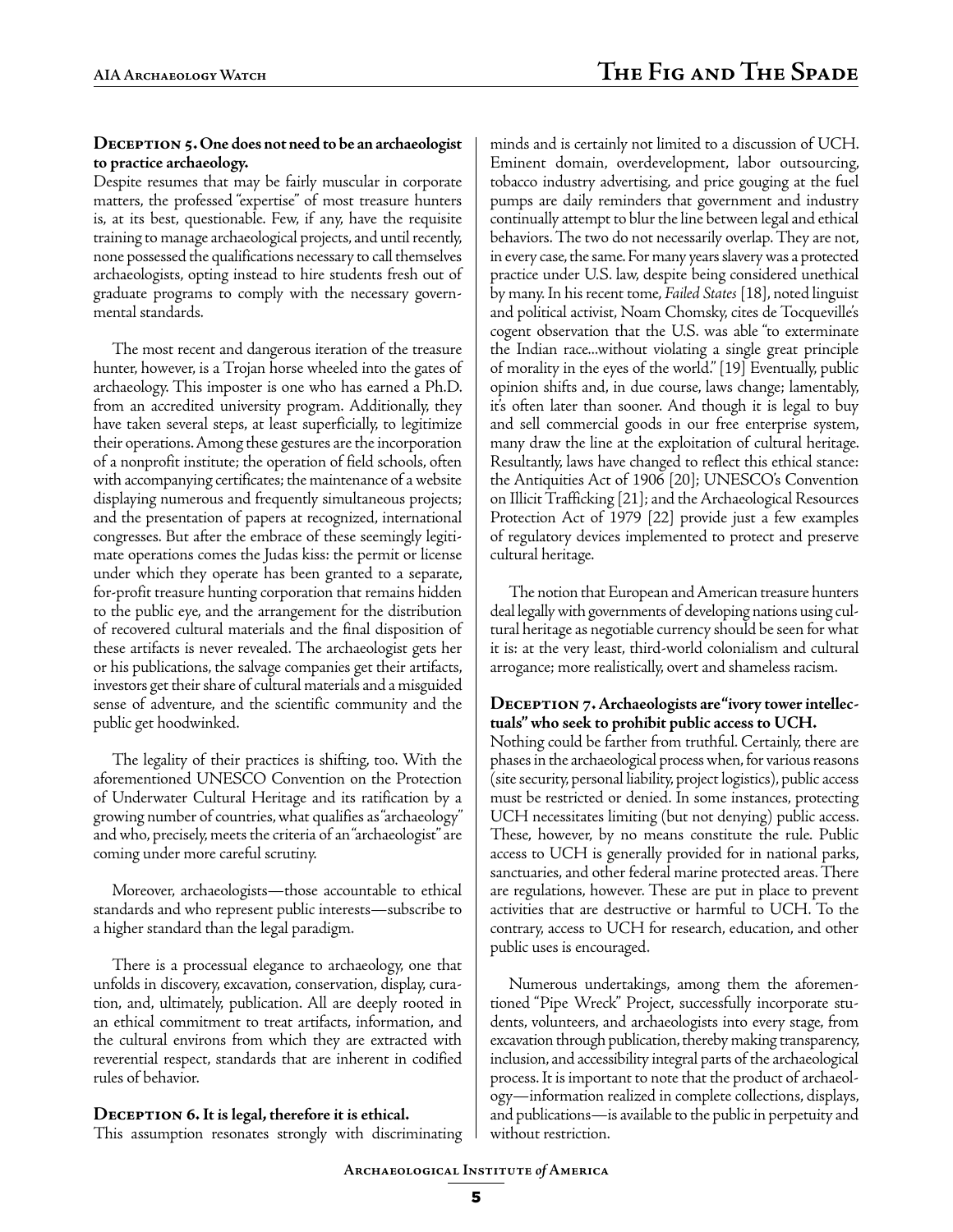#### DECEPTION 5. One does not need to be an archaeologist **to practice archaeology.**

Despite resumes that may be fairly muscular in corporate matters, the professed "expertise" of most treasure hunters is, at its best, questionable. Few, if any, have the requisite training to manage archaeological projects, and until recently, none possessed the qualifications necessary to call themselves archaeologists, opting instead to hire students fresh out of graduate programs to comply with the necessary governmental standards.

The most recent and dangerous iteration of the treasure hunter, however, is a Trojan horse wheeled into the gates of archaeology. This imposter is one who has earned a Ph.D. from an accredited university program. Additionally, they have taken several steps, at least superficially, to legitimize their operations. Among these gestures are the incorporation of a nonprofit institute; the operation of field schools, often with accompanying certificates; the maintenance of a website displaying numerous and frequently simultaneous projects; and the presentation of papers at recognized, international congresses. But after the embrace of these seemingly legitimate operations comes the Judas kiss: the permit or license under which they operate has been granted to a separate, for-profit treasure hunting corporation that remains hidden to the public eye, and the arrangement for the distribution of recovered cultural materials and the final disposition of these artifacts is never revealed. The archaeologist gets her or his publications, the salvage companies get their artifacts, investors get their share of cultural materials and a misguided sense of adventure, and the scientific community and the public get hoodwinked.

The legality of their practices is shifting, too. With the aforementioned UNESCO Convention on the Protection of Underwater Cultural Heritage and its ratification by a growing number of countries, what qualifies as "archaeology" and who, precisely, meets the criteria of an "archaeologist" are coming under more careful scrutiny.

Moreover, archaeologists—those accountable to ethical standards and who represent public interests—subscribe to a higher standard than the legal paradigm.

There is a processual elegance to archaeology, one that unfolds in discovery, excavation, conservation, display, curation, and, ultimately, publication. All are deeply rooted in an ethical commitment to treat artifacts, information, and the cultural environs from which they are extracted with reverential respect, standards that are inherent in codified rules of behavior.

#### **Deception 6. It is legal, therefore it is ethical.**

This assumption resonates strongly with discriminating

minds and is certainly not limited to a discussion of UCH. Eminent domain, overdevelopment, labor outsourcing, tobacco industry advertising, and price gouging at the fuel pumps are daily reminders that government and industry continually attempt to blur the line between legal and ethical behaviors. The two do not necessarily overlap. They are not, in every case, the same. For many years slavery was a protected practice under U.S. law, despite being considered unethical by many. In his recent tome, *Failed States* [18], noted linguist and political activist, Noam Chomsky, cites de Tocqueville's cogent observation that the U.S. was able "to exterminate the Indian race...without violating a single great principle of morality in the eyes of the world." [19] Eventually, public opinion shifts and, in due course, laws change; lamentably, it's often later than sooner. And though it is legal to buy and sell commercial goods in our free enterprise system, many draw the line at the exploitation of cultural heritage. Resultantly, laws have changed to reflect this ethical stance: the Antiquities Act of 1906 [20]; UNESCO's Convention on Illicit Trafficking [21]; and the Archaeological Resources Protection Act of 1979 [22] provide just a few examples of regulatory devices implemented to protect and preserve cultural heritage.

The notion that European and American treasure hunters deal legally with governments of developing nations using cultural heritage as negotiable currency should be seen for what it is: at the very least, third-world colonialism and cultural arrogance; more realistically, overt and shameless racism.

#### **DECEPTION 7. Archaeologists are "ivory tower intellectuals" who seek to prohibit public access to UCH.**

Nothing could be farther from truthful. Certainly, there are phases in the archaeological process when, for various reasons (site security, personal liability, project logistics), public access must be restricted or denied. In some instances, protecting UCH necessitates limiting (but not denying) public access. These, however, by no means constitute the rule. Public access to UCH is generally provided for in national parks, sanctuaries, and other federal marine protected areas. There are regulations, however. These are put in place to prevent activities that are destructive or harmful to UCH. To the contrary, access to UCH for research, education, and other public uses is encouraged.

Numerous undertakings, among them the aforementioned "Pipe Wreck" Project, successfully incorporate students, volunteers, and archaeologists into every stage, from excavation through publication, thereby making transparency, inclusion, and accessibility integral parts of the archaeological process. It is important to note that the product of archaeology—information realized in complete collections, displays, and publications—is available to the public in perpetuity and without restriction.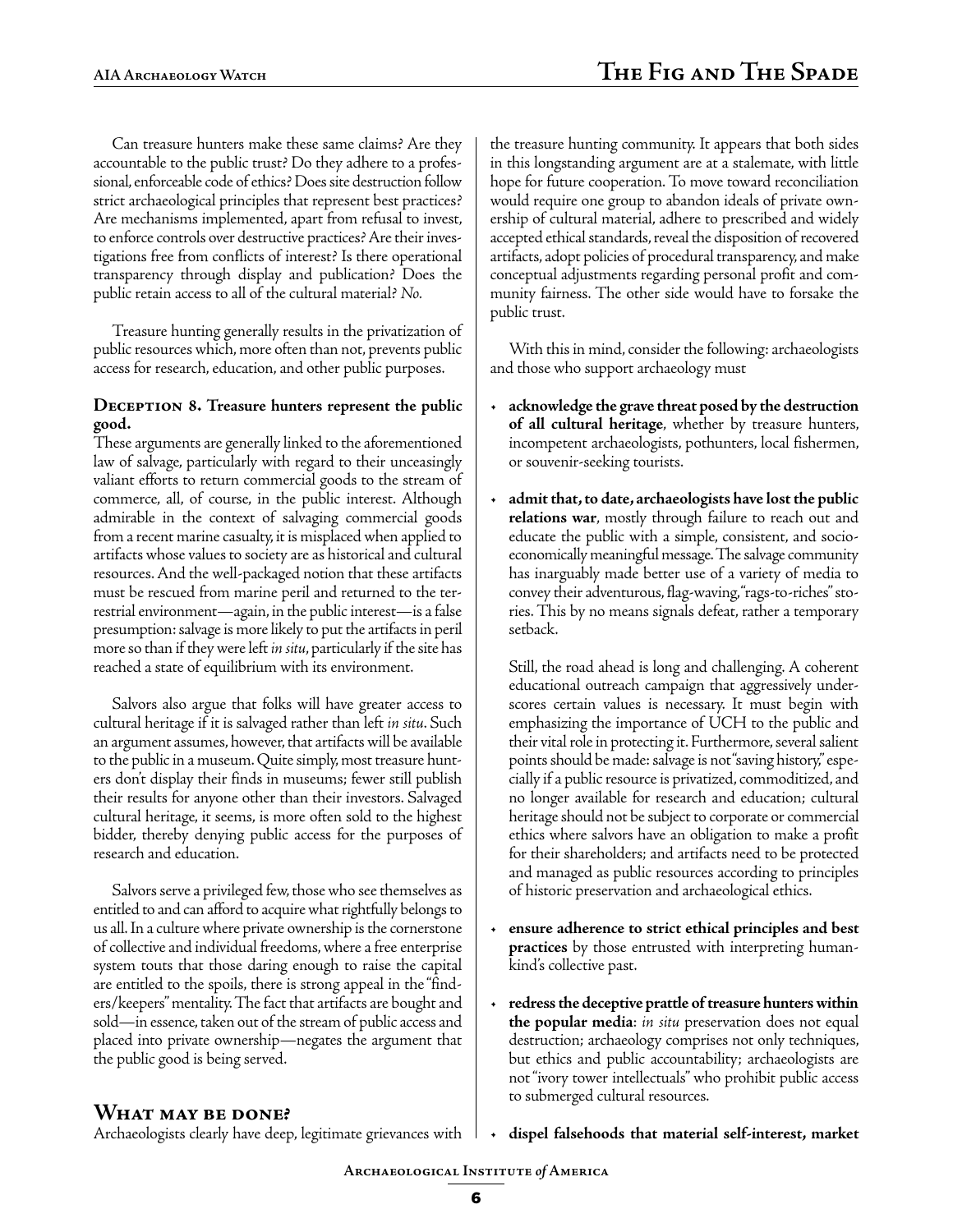Can treasure hunters make these same claims? Are they accountable to the public trust? Do they adhere to a professional, enforceable code of ethics? Does site destruction follow strict archaeological principles that represent best practices? Are mechanisms implemented, apart from refusal to invest, to enforce controls over destructive practices? Are their investigations free from conflicts of interest? Is there operational transparency through display and publication? Does the public retain access to all of the cultural material? *No.*

Treasure hunting generally results in the privatization of public resources which, more often than not, prevents public access for research, education, and other public purposes.

#### **DECEPTION 8. Treasure hunters represent the public good.**

These arguments are generally linked to the aforementioned law of salvage, particularly with regard to their unceasingly valiant efforts to return commercial goods to the stream of commerce, all, of course, in the public interest. Although admirable in the context of salvaging commercial goods from a recent marine casualty, it is misplaced when applied to artifacts whose values to society are as historical and cultural resources. And the well-packaged notion that these artifacts must be rescued from marine peril and returned to the terrestrial environment—again, in the public interest—is a false presumption: salvage is more likely to put the artifacts in peril more so than if they were left *in situ*, particularly if the site has reached a state of equilibrium with its environment.

Salvors also argue that folks will have greater access to cultural heritage if it is salvaged rather than left *in situ*. Such an argument assumes, however, that artifacts will be available to the public in a museum. Quite simply, most treasure hunters don't display their finds in museums; fewer still publish their results for anyone other than their investors. Salvaged cultural heritage, it seems, is more often sold to the highest bidder, thereby denying public access for the purposes of research and education.

Salvors serve a privileged few, those who see themselves as entitled to and can afford to acquire what rightfully belongs to us all. In a culture where private ownership is the cornerstone of collective and individual freedoms, where a free enterprise system touts that those daring enough to raise the capital are entitled to the spoils, there is strong appeal in the "finders/keepers" mentality. The fact that artifacts are bought and sold—in essence, taken out of the stream of public access and placed into private ownership—negates the argument that the public good is being served.

the treasure hunting community. It appears that both sides in this longstanding argument are at a stalemate, with little hope for future cooperation. To move toward reconciliation would require one group to abandon ideals of private ownership of cultural material, adhere to prescribed and widely accepted ethical standards, reveal the disposition of recovered artifacts, adopt policies of procedural transparency, and make conceptual adjustments regarding personal profit and community fairness. The other side would have to forsake the public trust.

With this in mind, consider the following: archaeologists and those who support archaeology must

- **acknowledge the grave threat posed by the destruction of all cultural heritage**, whether by treasure hunters, incompetent archaeologists, pothunters, local fishermen, or souvenir-seeking tourists.
- **admit that, to date, archaeologists have lost the public relations war**, mostly through failure to reach out and educate the public with a simple, consistent, and socioeconomically meaningful message. The salvage community has inarguably made better use of a variety of media to convey their adventurous, flag-waving, "rags-to-riches" stories. This by no means signals defeat, rather a temporary setback.

Still, the road ahead is long and challenging. A coherent educational outreach campaign that aggressively underscores certain values is necessary. It must begin with emphasizing the importance of UCH to the public and their vital role in protecting it. Furthermore, several salient points should be made: salvage is not "saving history," especially if a public resource is privatized, commoditized, and no longer available for research and education; cultural heritage should not be subject to corporate or commercial ethics where salvors have an obligation to make a profit for their shareholders; and artifacts need to be protected and managed as public resources according to principles of historic preservation and archaeological ethics.

- **ensure adherence to strict ethical principles and best practices** by those entrusted with interpreting humankind's collective past.
- **redress the deceptive prattle of treasure hunters within the popular media**: *in situ* preservation does not equal destruction; archaeology comprises not only techniques, but ethics and public accountability; archaeologists are not "ivory tower intellectuals" who prohibit public access to submerged cultural resources.

#### **What may be done?**

Archaeologists clearly have deep, legitimate grievances with • **dispel falsehoods that material self-interest, market**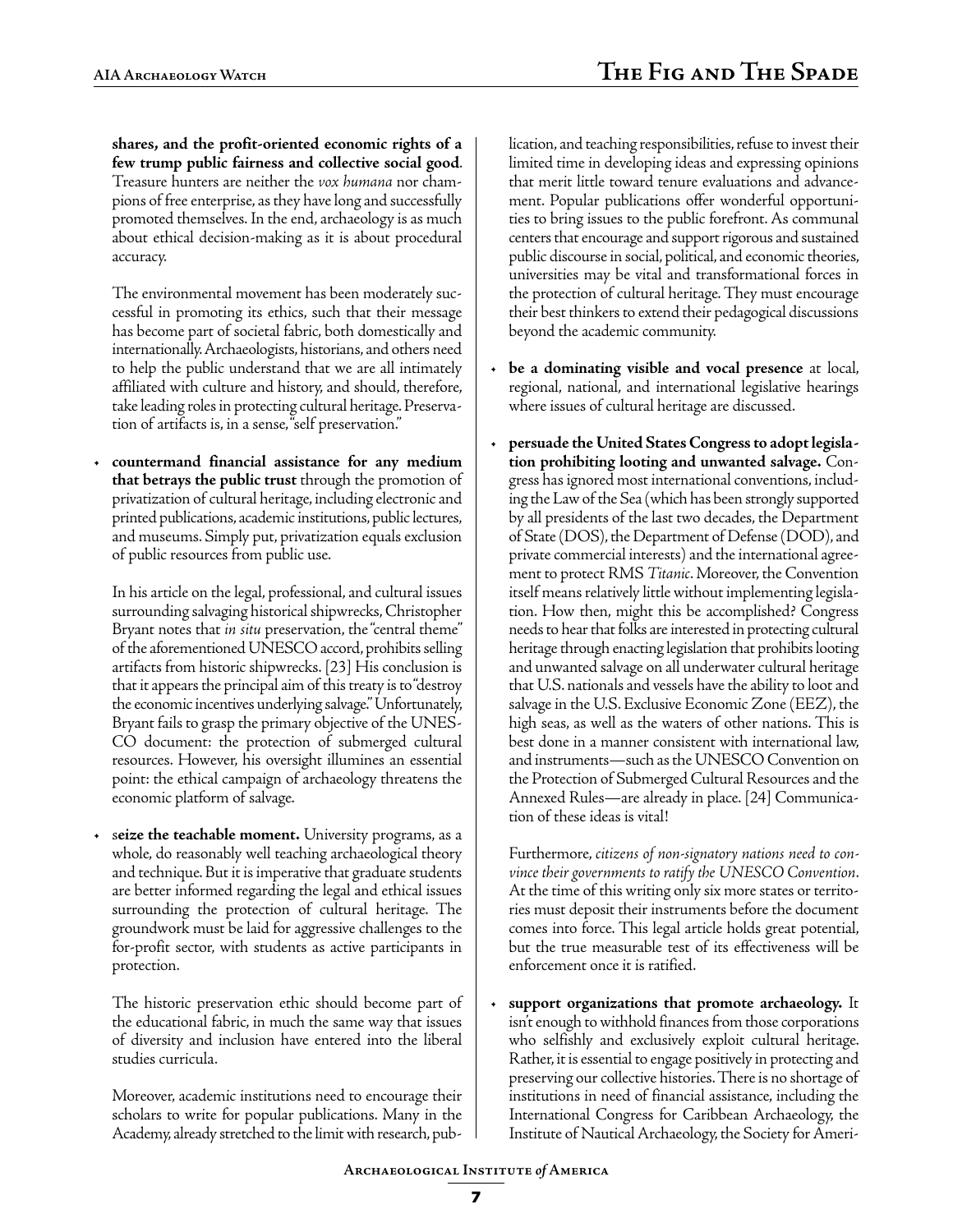**shares, and the profit-oriented economic rights of a few trump public fairness and collective social good**. Treasure hunters are neither the *vox humana* nor champions of free enterprise, as they have long and successfully promoted themselves. In the end, archaeology is as much about ethical decision-making as it is about procedural accuracy.

The environmental movement has been moderately successful in promoting its ethics, such that their message has become part of societal fabric, both domestically and internationally. Archaeologists, historians, and others need to help the public understand that we are all intimately affiliated with culture and history, and should, therefore, take leading roles in protecting cultural heritage. Preservation of artifacts is, in a sense, "self preservation."

• **countermand financial assistance for any medium that betrays the public trust** through the promotion of privatization of cultural heritage, including electronic and printed publications, academic institutions, public lectures, and museums. Simply put, privatization equals exclusion of public resources from public use.

In his article on the legal, professional, and cultural issues surrounding salvaging historical shipwrecks, Christopher Bryant notes that *in situ* preservation, the "central theme" of the aforementioned UNESCO accord, prohibits selling artifacts from historic shipwrecks. [23] His conclusion is that it appears the principal aim of this treaty is to "destroy the economic incentives underlying salvage." Unfortunately, Bryant fails to grasp the primary objective of the UNES-CO document: the protection of submerged cultural resources. However, his oversight illumines an essential point: the ethical campaign of archaeology threatens the economic platform of salvage.

seize the teachable moment. University programs, as a whole, do reasonably well teaching archaeological theory and technique. But it is imperative that graduate students are better informed regarding the legal and ethical issues surrounding the protection of cultural heritage. The groundwork must be laid for aggressive challenges to the for-profit sector, with students as active participants in protection.

The historic preservation ethic should become part of the educational fabric, in much the same way that issues of diversity and inclusion have entered into the liberal studies curricula.

Moreover, academic institutions need to encourage their scholars to write for popular publications. Many in the Academy, already stretched to the limit with research, publication, and teaching responsibilities, refuse to invest their limited time in developing ideas and expressing opinions that merit little toward tenure evaluations and advancement. Popular publications offer wonderful opportunities to bring issues to the public forefront. As communal centers that encourage and support rigorous and sustained public discourse in social, political, and economic theories, universities may be vital and transformational forces in the protection of cultural heritage. They must encourage their best thinkers to extend their pedagogical discussions beyond the academic community.

- **be a dominating visible and vocal presence** at local, regional, national, and international legislative hearings where issues of cultural heritage are discussed.
- **persuade the United States Congress to adopt legislation prohibiting looting and unwanted salvage.** Congress has ignored most international conventions, including the Law of the Sea (which has been strongly supported by all presidents of the last two decades, the Department of State (DOS), the Department of Defense (DOD), and private commercial interests) and the international agreement to protect RMS *Titanic*. Moreover, the Convention itself means relatively little without implementing legislation. How then, might this be accomplished? Congress needs to hear that folks are interested in protecting cultural heritage through enacting legislation that prohibits looting and unwanted salvage on all underwater cultural heritage that U.S. nationals and vessels have the ability to loot and salvage in the U.S. Exclusive Economic Zone (EEZ), the high seas, as well as the waters of other nations. This is best done in a manner consistent with international law, and instruments—such as the UNESCO Convention on the Protection of Submerged Cultural Resources and the Annexed Rules—are already in place. [24] Communication of these ideas is vital!

Furthermore, *citizens of non-signatory nations need to convince their governments to ratify the UNESCO Convention*. At the time of this writing only six more states or territories must deposit their instruments before the document comes into force. This legal article holds great potential, but the true measurable test of its effectiveness will be enforcement once it is ratified.

• **support organizations that promote archaeology.** It isn't enough to withhold finances from those corporations who selfishly and exclusively exploit cultural heritage. Rather, it is essential to engage positively in protecting and preserving our collective histories. There is no shortage of institutions in need of financial assistance, including the International Congress for Caribbean Archaeology, the Institute of Nautical Archaeology, the Society for Ameri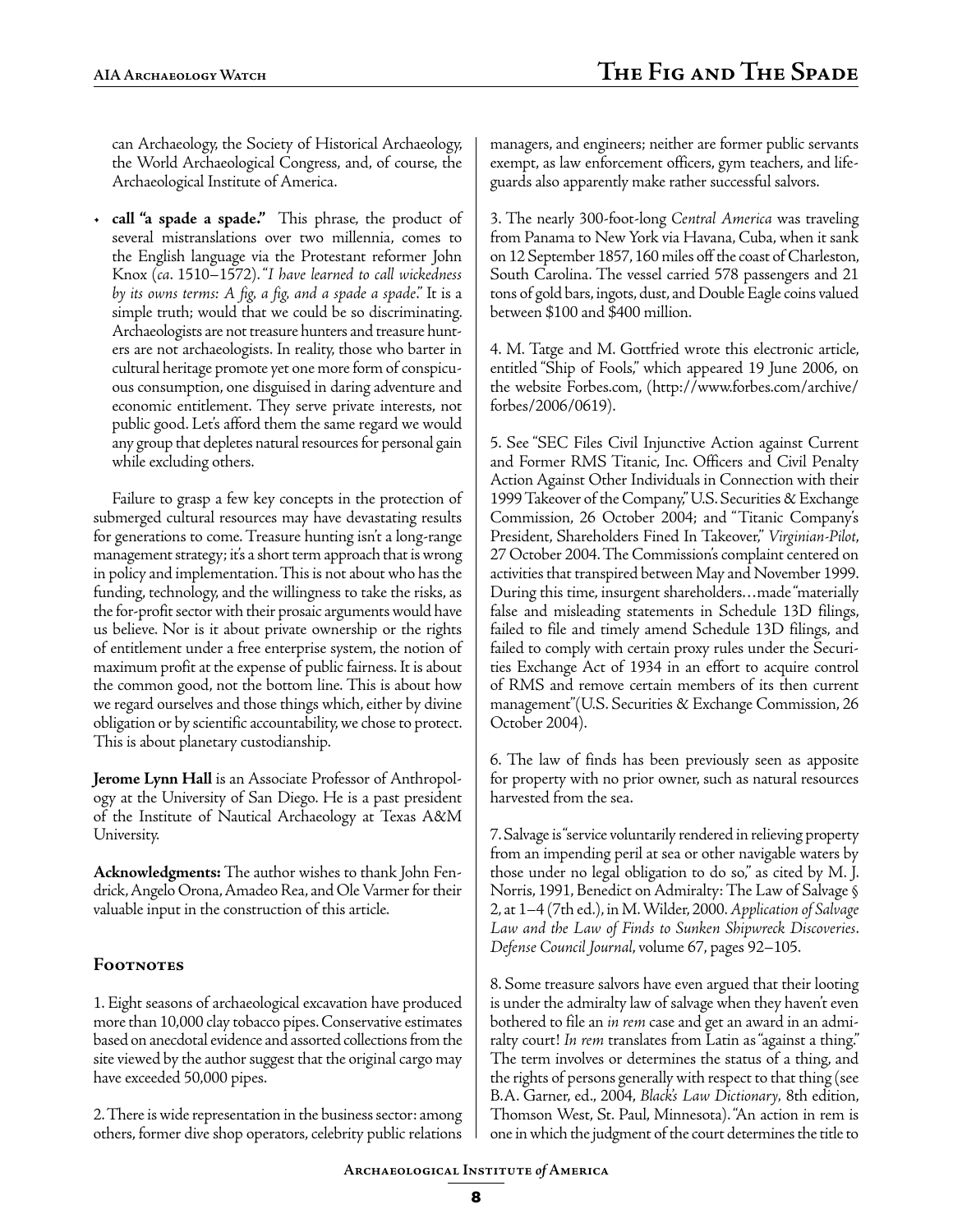can Archaeology, the Society of Historical Archaeology, the World Archaeological Congress, and, of course, the Archaeological Institute of America.

• **call "a spade a spade."** This phrase, the product of several mistranslations over two millennia, comes to the English language via the Protestant reformer John Knox (*ca*. 1510–1572). "*I have learned to call wickedness by its owns terms: A fig, a fig, and a spade a spade*." It is a simple truth; would that we could be so discriminating. Archaeologists are not treasure hunters and treasure hunters are not archaeologists. In reality, those who barter in cultural heritage promote yet one more form of conspicuous consumption, one disguised in daring adventure and economic entitlement. They serve private interests, not public good. Let's afford them the same regard we would any group that depletes natural resources for personal gain while excluding others.

Failure to grasp a few key concepts in the protection of submerged cultural resources may have devastating results for generations to come. Treasure hunting isn't a long-range management strategy; it's a short term approach that is wrong in policy and implementation. This is not about who has the funding, technology, and the willingness to take the risks, as the for-profit sector with their prosaic arguments would have us believe. Nor is it about private ownership or the rights of entitlement under a free enterprise system, the notion of maximum profit at the expense of public fairness. It is about the common good, not the bottom line. This is about how we regard ourselves and those things which, either by divine obligation or by scientific accountability, we chose to protect. This is about planetary custodianship.

**Jerome Lynn Hall** is an Associate Professor of Anthropology at the University of San Diego. He is a past president of the Institute of Nautical Archaeology at Texas A&M University.

**Acknowledgments:** The author wishes to thank John Fendrick, Angelo Orona, Amadeo Rea, and Ole Varmer for their valuable input in the construction of this article.

### **Footnotes**

1. Eight seasons of archaeological excavation have produced more than 10,000 clay tobacco pipes. Conservative estimates based on anecdotal evidence and assorted collections from the site viewed by the author suggest that the original cargo may have exceeded 50,000 pipes.

2. There is wide representation in the business sector: among others, former dive shop operators, celebrity public relations managers, and engineers; neither are former public servants exempt, as law enforcement officers, gym teachers, and lifeguards also apparently make rather successful salvors.

3. The nearly 300-foot-long *Central America* was traveling from Panama to New York via Havana, Cuba, when it sank on 12 September 1857, 160 miles off the coast of Charleston, South Carolina. The vessel carried 578 passengers and 21 tons of gold bars, ingots, dust, and Double Eagle coins valued between \$100 and \$400 million.

4. M. Tatge and M. Gottfried wrote this electronic article, entitled "Ship of Fools," which appeared 19 June 2006, on the website Forbes.com, (http://www.forbes.com/archive/ forbes/2006/0619).

5. See "SEC Files Civil Injunctive Action against Current and Former RMS Titanic, Inc. Officers and Civil Penalty Action Against Other Individuals in Connection with their 1999 Takeover of the Company," U.S. Securities & Exchange Commission, 26 October 2004; and "Titanic Company's President, Shareholders Fined In Takeover," *Virginian-Pilot*, 27 October 2004. The Commission's complaint centered on activities that transpired between May and November 1999. During this time, insurgent shareholders…made "materially false and misleading statements in Schedule 13D filings, failed to file and timely amend Schedule 13D filings, and failed to comply with certain proxy rules under the Securities Exchange Act of 1934 in an effort to acquire control of RMS and remove certain members of its then current management"(U.S. Securities & Exchange Commission, 26 October 2004).

6. The law of finds has been previously seen as apposite for property with no prior owner, such as natural resources harvested from the sea.

7. Salvage is "service voluntarily rendered in relieving property from an impending peril at sea or other navigable waters by those under no legal obligation to do so," as cited by M. J. Norris, 1991, Benedict on Admiralty: The Law of Salvage § 2, at 1–4 (7th ed.), in M. Wilder, 2000. *Application of Salvage Law and the Law of Finds to Sunken Shipwreck Discoveries*. *Defense Council Journal*, volume 67, pages 92–105.

8. Some treasure salvors have even argued that their looting is under the admiralty law of salvage when they haven't even bothered to file an *in rem* case and get an award in an admiralty court! *In rem* translates from Latin as "against a thing." The term involves or determines the status of a thing, and the rights of persons generally with respect to that thing (see B.A. Garner, ed., 2004, *Black's Law Dictionary,* 8th edition, Thomson West, St. Paul, Minnesota). "An action in rem is one in which the judgment of the court determines the title to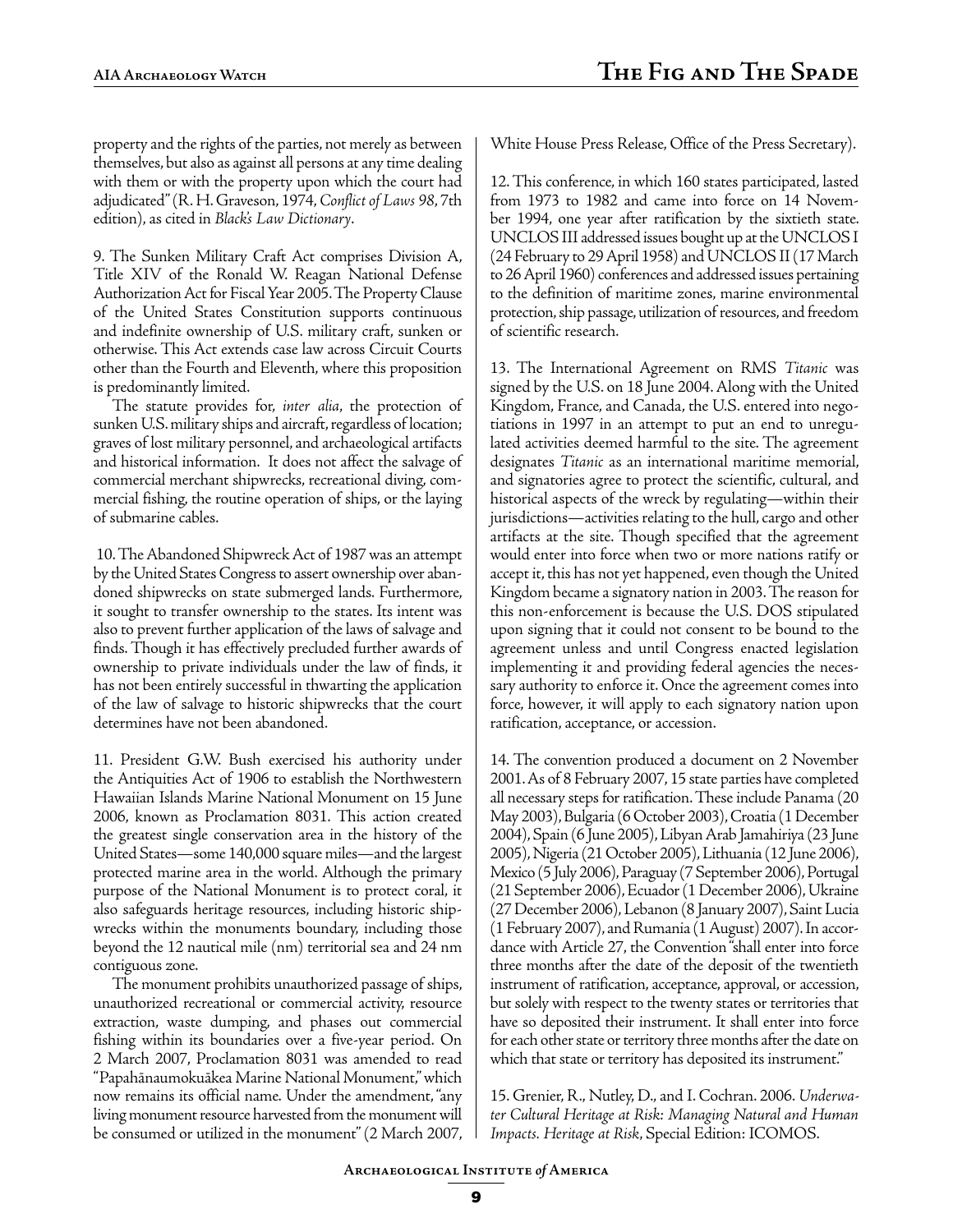property and the rights of the parties, not merely as between themselves, but also as against all persons at any time dealing with them or with the property upon which the court had adjudicated" (R. H. Graveson, 1974, *Conflict of Laws 98*, 7th edition), as cited in *Black's Law Dictionary*.

9. The Sunken Military Craft Act comprises Division A, Title XIV of the Ronald W. Reagan National Defense Authorization Act for Fiscal Year 2005. The Property Clause of the United States Constitution supports continuous and indefinite ownership of U.S. military craft, sunken or otherwise. This Act extends case law across Circuit Courts other than the Fourth and Eleventh, where this proposition is predominantly limited.

The statute provides for, *inter alia*, the protection of sunken U.S. military ships and aircraft, regardless of location; graves of lost military personnel, and archaeological artifacts and historical information. It does not affect the salvage of commercial merchant shipwrecks, recreational diving, commercial fishing, the routine operation of ships, or the laying of submarine cables.

 10. The Abandoned Shipwreck Act of 1987 was an attempt by the United States Congress to assert ownership over abandoned shipwrecks on state submerged lands. Furthermore, it sought to transfer ownership to the states. Its intent was also to prevent further application of the laws of salvage and finds. Though it has effectively precluded further awards of ownership to private individuals under the law of finds, it has not been entirely successful in thwarting the application of the law of salvage to historic shipwrecks that the court determines have not been abandoned.

11. President G.W. Bush exercised his authority under the Antiquities Act of 1906 to establish the Northwestern Hawaiian Islands Marine National Monument on 15 June 2006, known as Proclamation 8031. This action created the greatest single conservation area in the history of the United States—some 140,000 square miles—and the largest protected marine area in the world. Although the primary purpose of the National Monument is to protect coral, it also safeguards heritage resources, including historic shipwrecks within the monuments boundary, including those beyond the 12 nautical mile (nm) territorial sea and 24 nm contiguous zone.

The monument prohibits unauthorized passage of ships, unauthorized recreational or commercial activity, resource extraction, waste dumping, and phases out commercial fishing within its boundaries over a five-year period. On 2 March 2007, Proclamation 8031 was amended to read "Papahānaumokuākea Marine National Monument," which now remains its official name. Under the amendment, "any living monument resource harvested from the monument will be consumed or utilized in the monument" (2 March 2007, White House Press Release, Office of the Press Secretary).

12. This conference, in which 160 states participated, lasted from 1973 to 1982 and came into force on 14 November 1994, one year after ratification by the sixtieth state. UNCLOS III addressed issues bought up at the UNCLOS I (24 February to 29 April 1958) and UNCLOS II (17 March to 26 April 1960) conferences and addressed issues pertaining to the definition of maritime zones, marine environmental protection, ship passage, utilization of resources, and freedom of scientific research.

13. The International Agreement on RMS *Titanic* was signed by the U.S. on 18 June 2004. Along with the United Kingdom, France, and Canada, the U.S. entered into negotiations in 1997 in an attempt to put an end to unregulated activities deemed harmful to the site. The agreement designates *Titanic* as an international maritime memorial, and signatories agree to protect the scientific, cultural, and historical aspects of the wreck by regulating—within their jurisdictions—activities relating to the hull, cargo and other artifacts at the site. Though specified that the agreement would enter into force when two or more nations ratify or accept it, this has not yet happened, even though the United Kingdom became a signatory nation in 2003. The reason for this non-enforcement is because the U.S. DOS stipulated upon signing that it could not consent to be bound to the agreement unless and until Congress enacted legislation implementing it and providing federal agencies the necessary authority to enforce it. Once the agreement comes into force, however, it will apply to each signatory nation upon ratification, acceptance, or accession.

14. The convention produced a document on 2 November 2001. As of 8 February 2007, 15 state parties have completed all necessary steps for ratification. These include Panama (20 May 2003), Bulgaria (6 October 2003), Croatia (1 December 2004), Spain (6 June 2005), Libyan Arab Jamahiriya (23 June 2005), Nigeria (21 October 2005), Lithuania (12 June 2006), Mexico (5 July 2006), Paraguay (7 September 2006), Portugal (21 September 2006), Ecuador (1 December 2006), Ukraine (27 December 2006), Lebanon (8 January 2007), Saint Lucia (1 February 2007), and Rumania (1 August) 2007). In accordance with Article 27, the Convention "shall enter into force three months after the date of the deposit of the twentieth instrument of ratification, acceptance, approval, or accession, but solely with respect to the twenty states or territories that have so deposited their instrument. It shall enter into force for each other state or territory three months after the date on which that state or territory has deposited its instrument."

15. Grenier, R., Nutley, D., and I. Cochran. 2006. *Underwater Cultural Heritage at Risk: Managing Natural and Human Impacts. Heritage at Risk*, Special Edition: ICOMOS.